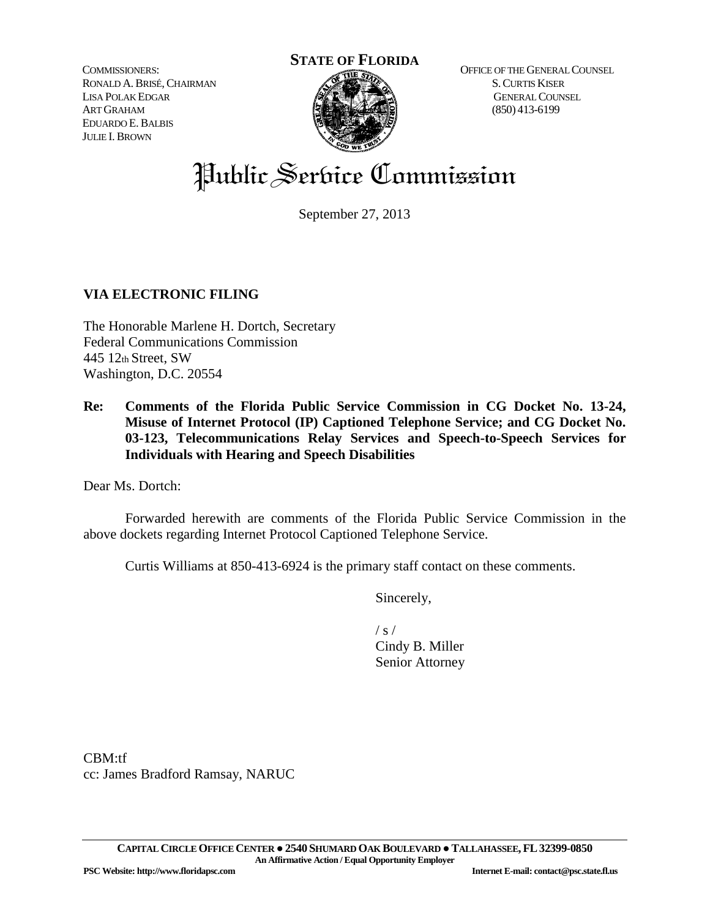COMMISSIONERS: RONALD A.BRISÉ,CHAIRMAN LISA POLAK EDGAR ART GRAHAM EDUARDO E.BALBIS JULIE I. BROWN



OFFICE OF THE GENERAL COUNSEL S.CURTIS KISER GENERAL COUNSEL (850) 413-6199

# Public Service Commission

September 27, 2013

## **VIA ELECTRONIC FILING**

The Honorable Marlene H. Dortch, Secretary Federal Communications Commission 445 12th Street, SW Washington, D.C. 20554

**Re: Comments of the Florida Public Service Commission in CG Docket No. 13-24, Misuse of Internet Protocol (IP) Captioned Telephone Service; and CG Docket No. 03-123, Telecommunications Relay Services and Speech-to-Speech Services for Individuals with Hearing and Speech Disabilities**

Dear Ms. Dortch:

Forwarded herewith are comments of the Florida Public Service Commission in the above dockets regarding Internet Protocol Captioned Telephone Service.

Curtis Williams at 850-413-6924 is the primary staff contact on these comments.

Sincerely,

 $/ s /$ Cindy B. Miller Senior Attorney

CBM:tf cc: James Bradford Ramsay, NARUC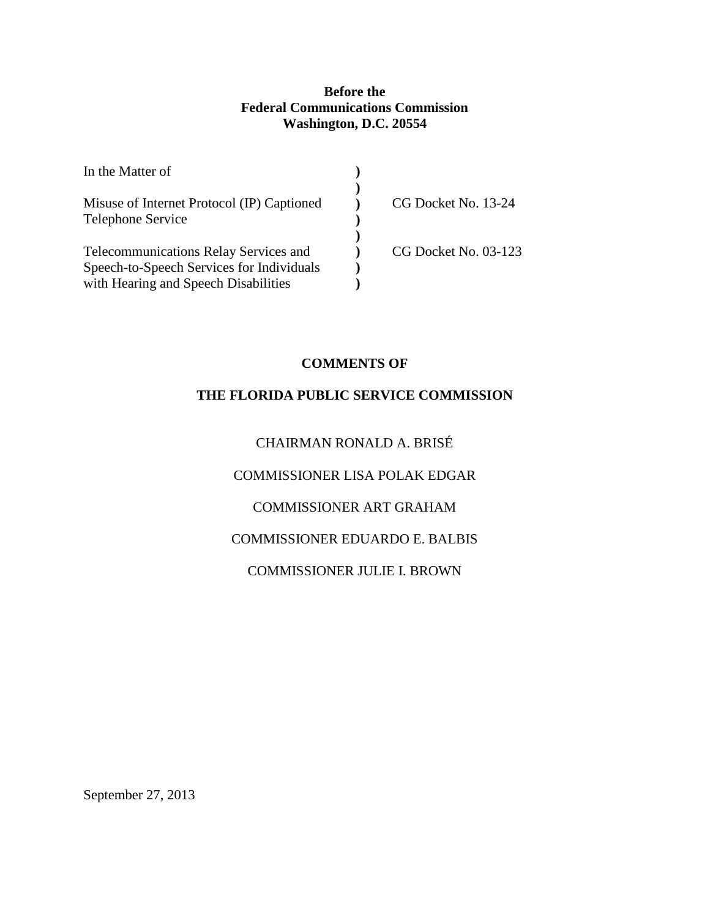#### **Before the Federal Communications Commission Washington, D.C. 20554**

| In the Matter of                           |                      |
|--------------------------------------------|----------------------|
| Misuse of Internet Protocol (IP) Captioned | CG Docket No. 13-24  |
| Telephone Service                          |                      |
| Telecommunications Relay Services and      | CG Docket No. 03-123 |
| Speech-to-Speech Services for Individuals  |                      |
| with Hearing and Speech Disabilities       |                      |

### **COMMENTS OF**

#### **THE FLORIDA PUBLIC SERVICE COMMISSION**

## CHAIRMAN RONALD A. BRISÉ

COMMISSIONER LISA POLAK EDGAR

## COMMISSIONER ART GRAHAM

#### COMMISSIONER EDUARDO E. BALBIS

#### COMMISSIONER JULIE I. BROWN

September 27, 2013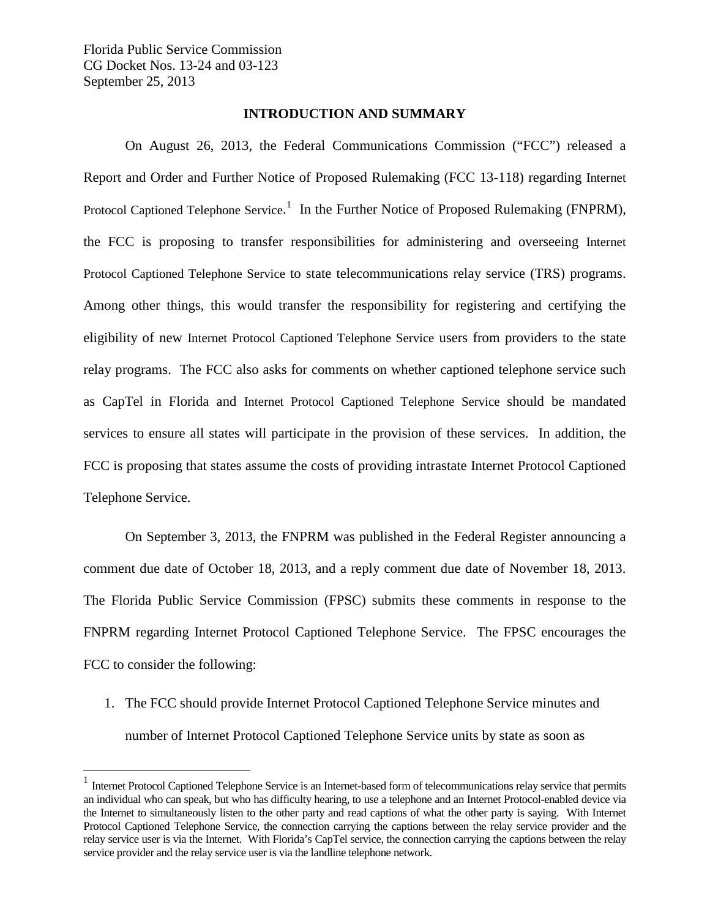#### **INTRODUCTION AND SUMMARY**

On August 26, 2013, the Federal Communications Commission ("FCC") released a Report and Order and Further Notice of Proposed Rulemaking (FCC 13-118) regarding Internet Protocol Captioned Telephone Service.<sup>[1](#page-2-0)</sup> In the Further Notice of Proposed Rulemaking (FNPRM), the FCC is proposing to transfer responsibilities for administering and overseeing Internet Protocol Captioned Telephone Service to state telecommunications relay service (TRS) programs. Among other things, this would transfer the responsibility for registering and certifying the eligibility of new Internet Protocol Captioned Telephone Service users from providers to the state relay programs. The FCC also asks for comments on whether captioned telephone service such as CapTel in Florida and Internet Protocol Captioned Telephone Service should be mandated services to ensure all states will participate in the provision of these services. In addition, the FCC is proposing that states assume the costs of providing intrastate Internet Protocol Captioned Telephone Service.

On September 3, 2013, the FNPRM was published in the Federal Register announcing a comment due date of October 18, 2013, and a reply comment due date of November 18, 2013. The Florida Public Service Commission (FPSC) submits these comments in response to the FNPRM regarding Internet Protocol Captioned Telephone Service. The FPSC encourages the FCC to consider the following:

1. The FCC should provide Internet Protocol Captioned Telephone Service minutes and number of Internet Protocol Captioned Telephone Service units by state as soon as

<span id="page-2-0"></span><sup>&</sup>lt;sup>1</sup> Internet Protocol Captioned Telephone Service is an Internet-based form of telecommunications relay service that permits an individual who can speak, but who has difficulty hearing, to use a telephone and an Internet Protocol-enabled device via the Internet to simultaneously listen to the other party and read captions of what the other party is saying. With Internet Protocol Captioned Telephone Service, the connection carrying the captions between the relay service provider and the relay service user is via the Internet. With Florida's CapTel service, the connection carrying the captions between the relay service provider and the relay service user is via the landline telephone network.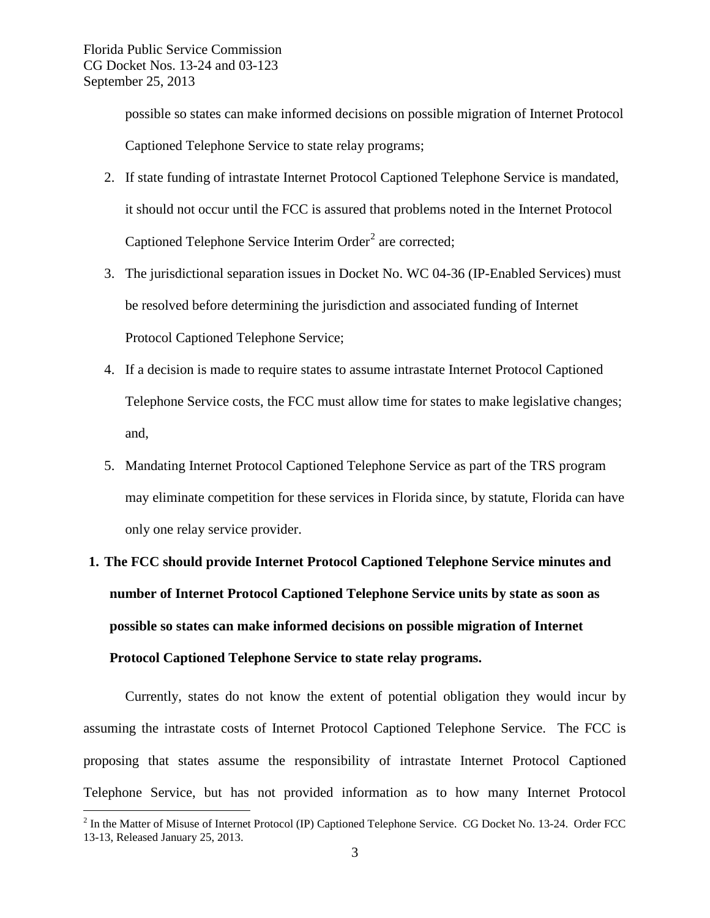possible so states can make informed decisions on possible migration of Internet Protocol Captioned Telephone Service to state relay programs;

- 2. If state funding of intrastate Internet Protocol Captioned Telephone Service is mandated, it should not occur until the FCC is assured that problems noted in the Internet Protocol Captioned Telephone Service Interim Order<sup>[2](#page-3-0)</sup> are corrected;
- 3. The jurisdictional separation issues in Docket No. WC 04-36 (IP-Enabled Services) must be resolved before determining the jurisdiction and associated funding of Internet Protocol Captioned Telephone Service;
- 4. If a decision is made to require states to assume intrastate Internet Protocol Captioned Telephone Service costs, the FCC must allow time for states to make legislative changes; and,
- 5. Mandating Internet Protocol Captioned Telephone Service as part of the TRS program may eliminate competition for these services in Florida since, by statute, Florida can have only one relay service provider.

# **1. The FCC should provide Internet Protocol Captioned Telephone Service minutes and number of Internet Protocol Captioned Telephone Service units by state as soon as possible so states can make informed decisions on possible migration of Internet Protocol Captioned Telephone Service to state relay programs.**

Currently, states do not know the extent of potential obligation they would incur by assuming the intrastate costs of Internet Protocol Captioned Telephone Service. The FCC is proposing that states assume the responsibility of intrastate Internet Protocol Captioned Telephone Service, but has not provided information as to how many Internet Protocol

<span id="page-3-0"></span><sup>&</sup>lt;sup>2</sup> In the Matter of Misuse of Internet Protocol (IP) Captioned Telephone Service. CG Docket No. 13-24. Order FCC 13-13, Released January 25, 2013.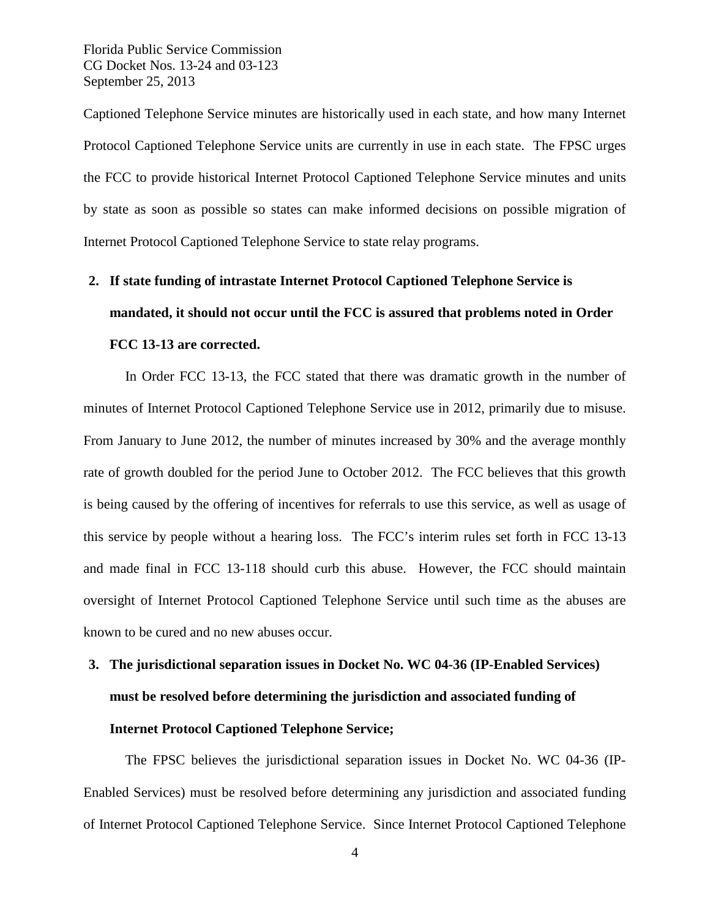Captioned Telephone Service minutes are historically used in each state, and how many Internet Protocol Captioned Telephone Service units are currently in use in each state. The FPSC urges the FCC to provide historical Internet Protocol Captioned Telephone Service minutes and units by state as soon as possible so states can make informed decisions on possible migration of Internet Protocol Captioned Telephone Service to state relay programs.

# **2. If state funding of intrastate Internet Protocol Captioned Telephone Service is mandated, it should not occur until the FCC is assured that problems noted in Order FCC 13-13 are corrected.**

In Order FCC 13-13, the FCC stated that there was dramatic growth in the number of minutes of Internet Protocol Captioned Telephone Service use in 2012, primarily due to misuse. From January to June 2012, the number of minutes increased by 30% and the average monthly rate of growth doubled for the period June to October 2012. The FCC believes that this growth is being caused by the offering of incentives for referrals to use this service, as well as usage of this service by people without a hearing loss. The FCC's interim rules set forth in FCC 13-13 and made final in FCC 13-118 should curb this abuse. However, the FCC should maintain oversight of Internet Protocol Captioned Telephone Service until such time as the abuses are known to be cured and no new abuses occur.

# **3. The jurisdictional separation issues in Docket No. WC 04-36 (IP-Enabled Services) must be resolved before determining the jurisdiction and associated funding of**

### **Internet Protocol Captioned Telephone Service;**

The FPSC believes the jurisdictional separation issues in Docket No. WC 04-36 (IP-Enabled Services) must be resolved before determining any jurisdiction and associated funding of Internet Protocol Captioned Telephone Service. Since Internet Protocol Captioned Telephone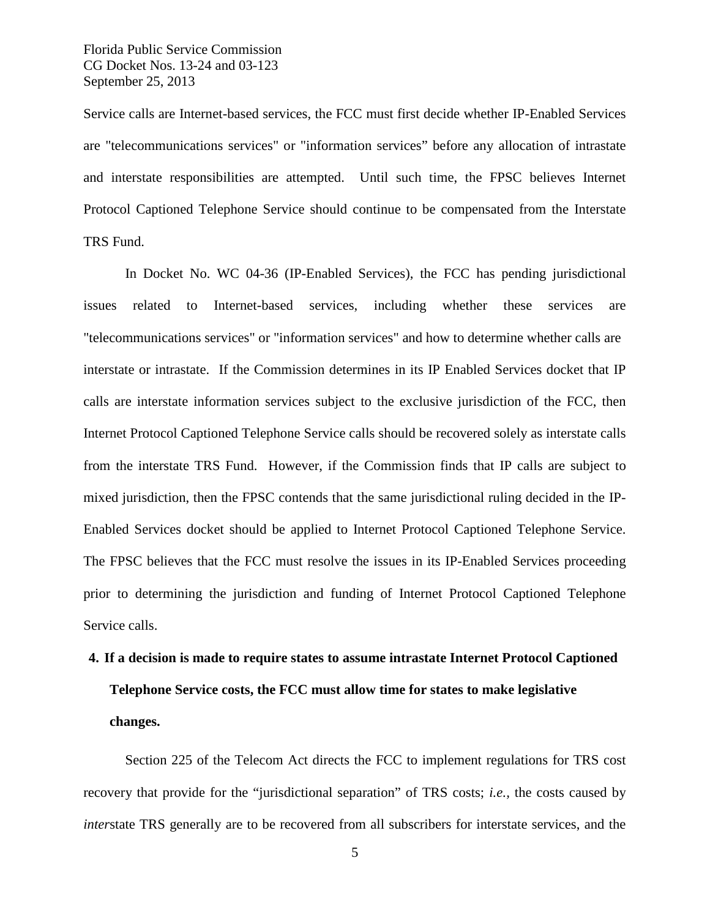Service calls are Internet-based services, the FCC must first decide whether IP-Enabled Services are "telecommunications services" or "information services" before any allocation of intrastate and interstate responsibilities are attempted. Until such time, the FPSC believes Internet Protocol Captioned Telephone Service should continue to be compensated from the Interstate TRS Fund.

In Docket No. WC 04-36 (IP-Enabled Services), the FCC has pending jurisdictional issues related to Internet-based services, including whether these services are "telecommunications services" or "information services" and how to determine whether calls are interstate or intrastate. If the Commission determines in its IP Enabled Services docket that IP calls are interstate information services subject to the exclusive jurisdiction of the FCC, then Internet Protocol Captioned Telephone Service calls should be recovered solely as interstate calls from the interstate TRS Fund. However, if the Commission finds that IP calls are subject to mixed jurisdiction, then the FPSC contends that the same jurisdictional ruling decided in the IP-Enabled Services docket should be applied to Internet Protocol Captioned Telephone Service. The FPSC believes that the FCC must resolve the issues in its IP-Enabled Services proceeding prior to determining the jurisdiction and funding of Internet Protocol Captioned Telephone Service calls.

# **4. If a decision is made to require states to assume intrastate Internet Protocol Captioned Telephone Service costs, the FCC must allow time for states to make legislative changes.**

Section 225 of the Telecom Act directs the FCC to implement regulations for TRS cost recovery that provide for the "jurisdictional separation" of TRS costs; *i.e.,* the costs caused by *inter*state TRS generally are to be recovered from all subscribers for interstate services, and the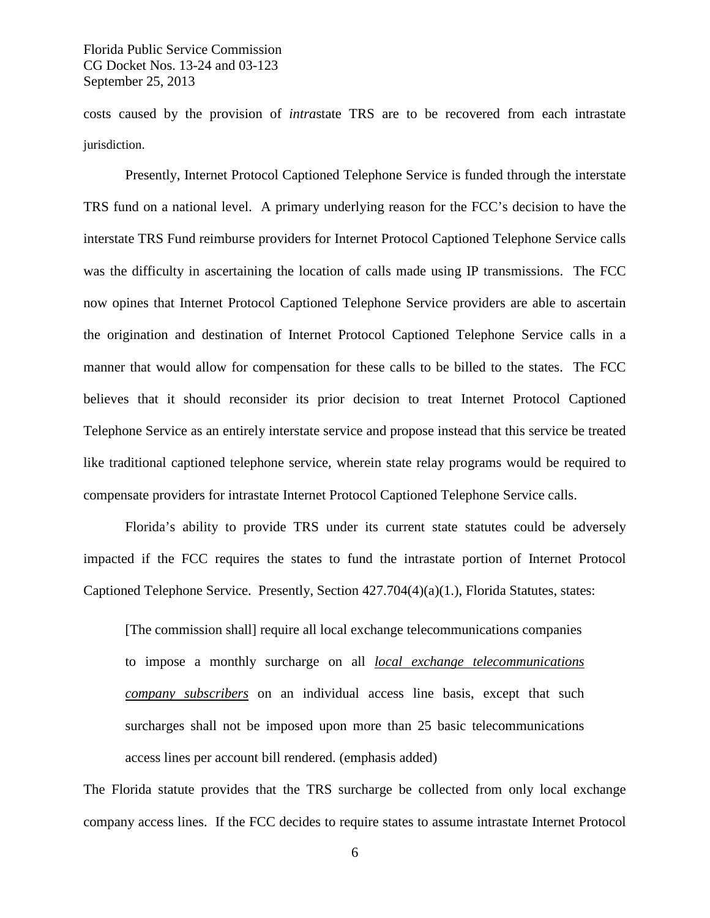costs caused by the provision of *intra*state TRS are to be recovered from each intrastate jurisdiction.

Presently, Internet Protocol Captioned Telephone Service is funded through the interstate TRS fund on a national level. A primary underlying reason for the FCC's decision to have the interstate TRS Fund reimburse providers for Internet Protocol Captioned Telephone Service calls was the difficulty in ascertaining the location of calls made using IP transmissions. The FCC now opines that Internet Protocol Captioned Telephone Service providers are able to ascertain the origination and destination of Internet Protocol Captioned Telephone Service calls in a manner that would allow for compensation for these calls to be billed to the states. The FCC believes that it should reconsider its prior decision to treat Internet Protocol Captioned Telephone Service as an entirely interstate service and propose instead that this service be treated like traditional captioned telephone service, wherein state relay programs would be required to compensate providers for intrastate Internet Protocol Captioned Telephone Service calls.

Florida's ability to provide TRS under its current state statutes could be adversely impacted if the FCC requires the states to fund the intrastate portion of Internet Protocol Captioned Telephone Service. Presently, Section 427.704(4)(a)(1.), Florida Statutes, states:

[The commission shall] require all local exchange telecommunications companies to impose a monthly surcharge on all *local exchange telecommunications company subscribers* on an individual access line basis, except that such surcharges shall not be imposed upon more than 25 basic telecommunications access lines per account bill rendered. (emphasis added)

The Florida statute provides that the TRS surcharge be collected from only local exchange company access lines. If the FCC decides to require states to assume intrastate Internet Protocol

6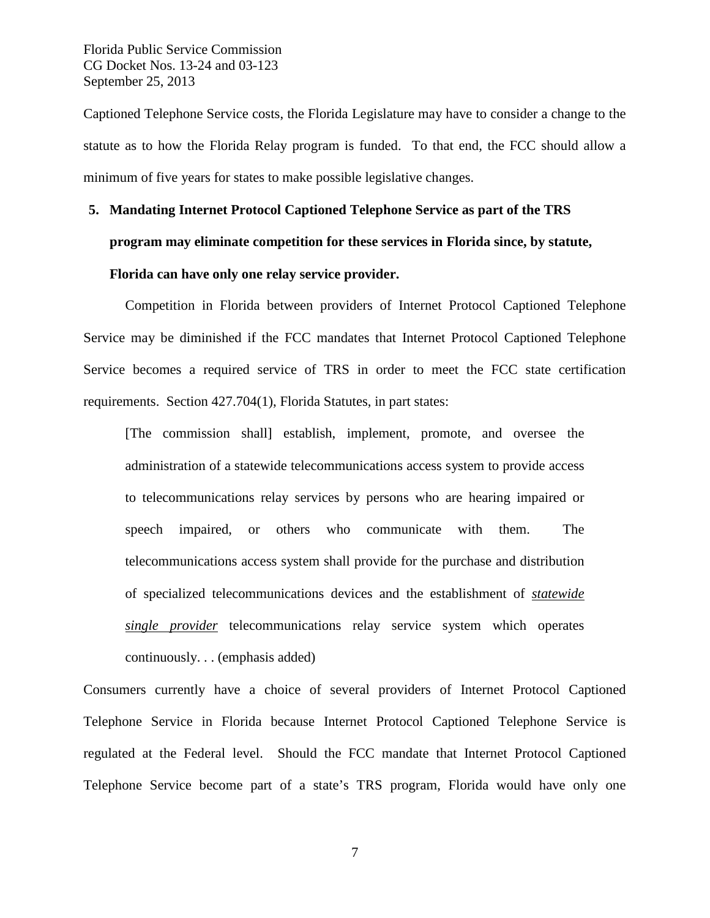Captioned Telephone Service costs, the Florida Legislature may have to consider a change to the statute as to how the Florida Relay program is funded. To that end, the FCC should allow a minimum of five years for states to make possible legislative changes.

# **5. Mandating Internet Protocol Captioned Telephone Service as part of the TRS program may eliminate competition for these services in Florida since, by statute, Florida can have only one relay service provider.**

Competition in Florida between providers of Internet Protocol Captioned Telephone Service may be diminished if the FCC mandates that Internet Protocol Captioned Telephone Service becomes a required service of TRS in order to meet the FCC state certification requirements. Section 427.704(1), Florida Statutes, in part states:

[The commission shall] establish, implement, promote, and oversee the administration of a statewide telecommunications access system to provide access to telecommunications relay services by persons who are hearing impaired or speech impaired, or others who communicate with them. The telecommunications access system shall provide for the purchase and distribution of specialized telecommunications devices and the establishment of *statewide single provider* telecommunications relay service system which operates continuously. . . (emphasis added)

Consumers currently have a choice of several providers of Internet Protocol Captioned Telephone Service in Florida because Internet Protocol Captioned Telephone Service is regulated at the Federal level. Should the FCC mandate that Internet Protocol Captioned Telephone Service become part of a state's TRS program, Florida would have only one

7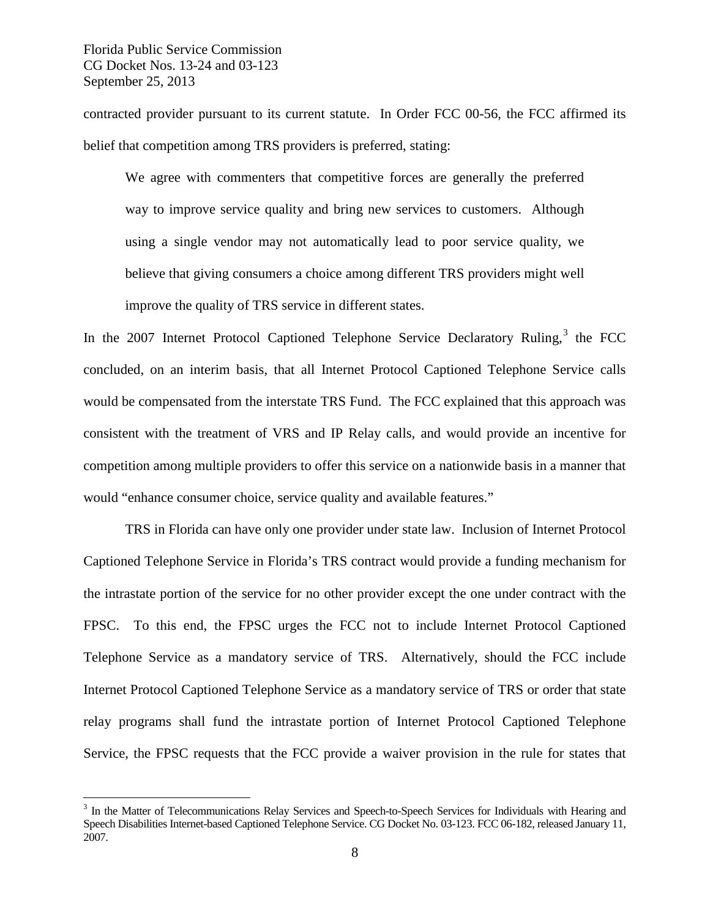contracted provider pursuant to its current statute. In Order FCC 00-56, the FCC affirmed its belief that competition among TRS providers is preferred, stating:

We agree with commenters that competitive forces are generally the preferred way to improve service quality and bring new services to customers. Although using a single vendor may not automatically lead to poor service quality, we believe that giving consumers a choice among different TRS providers might well improve the quality of TRS service in different states.

In the 2007 Internet Protocol Captioned Telephone Service Declaratory Ruling,<sup>[3](#page-8-0)</sup> the FCC concluded, on an interim basis, that all Internet Protocol Captioned Telephone Service calls would be compensated from the interstate TRS Fund. The FCC explained that this approach was consistent with the treatment of VRS and IP Relay calls, and would provide an incentive for competition among multiple providers to offer this service on a nationwide basis in a manner that would "enhance consumer choice, service quality and available features."

TRS in Florida can have only one provider under state law. Inclusion of Internet Protocol Captioned Telephone Service in Florida's TRS contract would provide a funding mechanism for the intrastate portion of the service for no other provider except the one under contract with the FPSC. To this end, the FPSC urges the FCC not to include Internet Protocol Captioned Telephone Service as a mandatory service of TRS. Alternatively, should the FCC include Internet Protocol Captioned Telephone Service as a mandatory service of TRS or order that state relay programs shall fund the intrastate portion of Internet Protocol Captioned Telephone Service, the FPSC requests that the FCC provide a waiver provision in the rule for states that

<span id="page-8-0"></span><sup>&</sup>lt;sup>3</sup> In the Matter of Telecommunications Relay Services and Speech-to-Speech Services for Individuals with Hearing and Speech Disabilities Internet-based Captioned Telephone Service. CG Docket No. 03-123. FCC 06-182, released January 11, 2007.